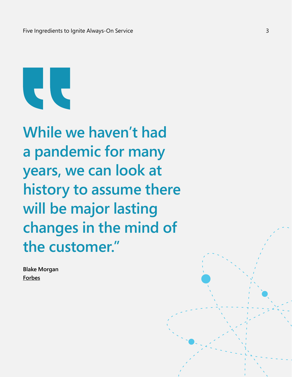

**While we haven't had a pandemic for many years, we can look at history to assume there will be major lasting changes in the mind of the customer."** 

**Blake Morgan [Forbes](https://www.forbes.com/sites/blakemorgan/2020/04/27/customer-experience-mindset-in-a-post-covid-19-world-an-infograph/#73a752143d0e)**

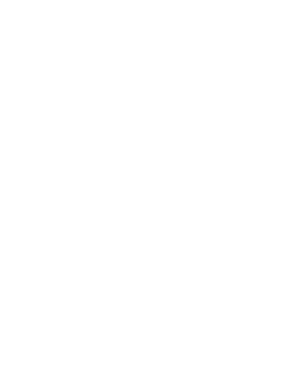

While we haven't had a pandemic for many years, we can look at history to assume there will be major lasting changes in the mind of the customer."

**Blake Morgan Forbes** 

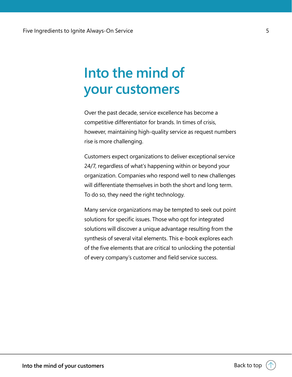## **Into the mind of your customers**

Over the past decade, service excellence has become a competitive differentiator for brands. In times of crisis, however, maintaining high-quality service as request numbers rise is more challenging.

Customers expect organizations to deliver exceptional service 24/7, regardless of what's happening within or beyond your organization. Companies who respond well to new challenges will differentiate themselves in both the short and long term. To do so, they need the right technology.

Many service organizations may be tempted to seek out point solutions for specific issues. Those who opt for integrated solutions will discover a unique advantage resulting from the synthesis of several vital elements. This e-book explores each of the five elements that are critical to unlocking the potential of every company's customer and field service success.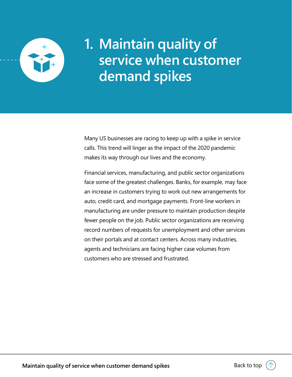

# <span id="page-5-0"></span>**Maintain quality of 1. service when customer demand spikes**

Many US businesses are racing to keep up with a spike in service calls. This trend will linger as the impact of the 2020 pandemic makes its way through our lives and the economy.

Financial services, manufacturing, and public sector organizations face some of the greatest challenges. Banks, for example, may face an increase in customers trying to work out new arrangements for auto, credit card, and mortgage payments. Front-line workers in manufacturing are under pressure to maintain production despite fewer people on the job. Public sector organizations are receiving record numbers of requests for unemployment and other services on their portals and at contact centers. Across many industries, agents and technicians are facing higher case volumes from customers who are stressed and frustrated.

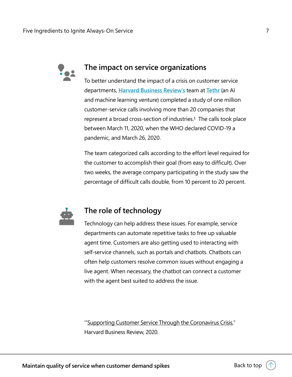

### **The impact on service organizations**

To better understand the impact of a crisis on customer service departments, **[Harvard Business Review's](https://hbr.org/2020/04/supporting-customer-service-through-the-coronavirus-crisis)** team at **[Tethr](http://tethr.com/)** (an AI and machine learning venture) completed a study of one million customer-service calls involving more than 20 companies that represent a broad cross-section of industries. $<sup>1</sup>$  The calls took place</sup> between March 11, 2020, when the WHO declared COVID-19 a pandemic, and March 26, 2020.

The team categorized calls according to the effort level required for the customer to accomplish their goal (from easy to difficult). Over two weeks, the average company participating in the study saw the percentage of difficult calls double, from 10 percent to 20 percent.



### **The role of technology**

Technology can help address these issues. For example, service departments can automate repetitive tasks to free up valuable agent time. Customers are also getting used to interacting with self-service channels, such as portals and chatbots. Chatbots can often help customers resolve common issues without engaging a live agent. When necessary, the chatbot can connect a customer with the agent best suited to address the issue.

["Supporting Customer Service Through the Coronavirus Crisis](https://hbr.org/2020/04/supporting-customer-service-through-the-coronavirus-crisis)," Harvard Business Review, 2020.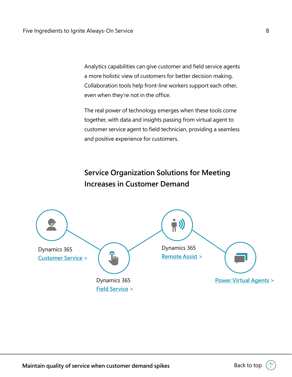Analytics capabilities can give customer and field service agents a more holistic view of customers for better decision making. Collaboration tools help front-line workers support each other, even when they're not in the office.

The real power of technology emerges when these tools come together, with data and insights passing from virtual agent to customer service agent to field technician, providing a seamless and positive experience for customers.

**Service Organization Solutions for Meeting Increases in Customer Demand**

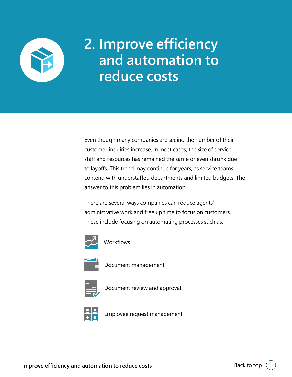

# **Improve efficiency 2. and automation to reduce costs**

Even though many companies are seeing the number of their customer inquiries increase, in most cases, the size of service staff and resources has remained the same or even shrunk due to layoffs. This trend may continue for years, as service teams contend with understaffed departments and limited budgets. The answer to this problem lies in automation.

There are several ways companies can reduce agents' administrative work and free up time to focus on customers. These include focusing on automating processes such as:



**Workflows** 



Document management



Document review and approval



Employee request management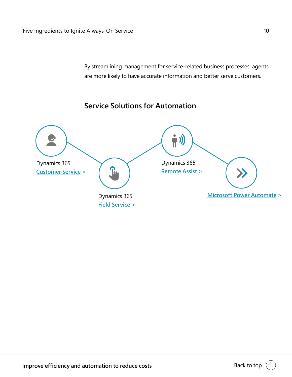By streamlining management for service-related business processes, agents are more likely to have accurate information and better serve customers.

**Service Solutions for Automation**

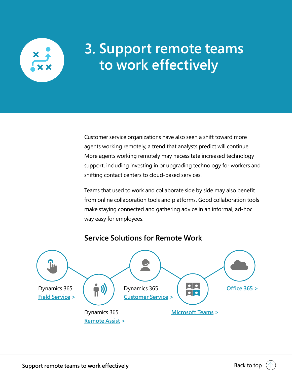

# **Support remote teams 3. to work effectively**

Customer service organizations have also seen a shift toward more agents working remotely, a trend that analysts predict will continue. More agents working remotely may necessitate increased technology support, including investing in or upgrading technology for workers and shifting contact centers to cloud-based services.

Teams that used to work and collaborate side by side may also benefit from online collaboration tools and platforms. Good collaboration tools make staying connected and gathering advice in an informal, ad-hoc way easy for employees.



### **Service Solutions for Remote Work**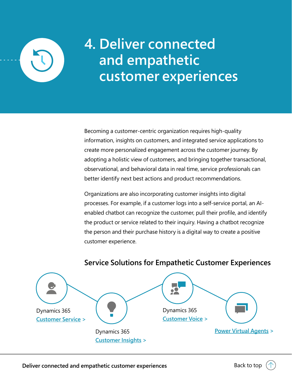# **Deliver connected 4. and empathetic customer experiences**

Becoming a customer-centric organization requires high-quality information, insights on customers, and integrated service applications to create more personalized engagement across the customer journey. By adopting a holistic view of customers, and bringing together transactional, observational, and behavioral data in real time, service professionals can better identify next best actions and product recommendations.

Organizations are also incorporating customer insights into digital processes. For example, if a customer logs into a self-service portal, an AIenabled chatbot can recognize the customer, pull their profile, and identify the product or service related to their inquiry. Having a chatbot recognize the person and their purchase history is a digital way to create a positive customer experience.



### **Service Solutions for Empathetic Customer Experiences**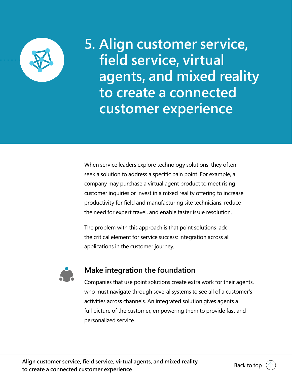

<span id="page-12-0"></span>**Align customer service, 5. field service, virtual agents, and mixed reality to create a connected customer experience**

When service leaders explore technology solutions, they often seek a solution to address a specific pain point. For example, a company may purchase a virtual agent product to meet rising customer inquiries or invest in a mixed reality offering to increase productivity for field and manufacturing site technicians, reduce the need for expert travel, and enable faster issue resolution.

The problem with this approach is that point solutions lack the critical element for service success: integration across all applications in the customer journey.



### **Make integration the foundation**

Companies that use point solutions create extra work for their agents, who must navigate through several systems to see all of a customer's activities across channels. An integrated solution gives agents a full picture of the customer, empowering them to provide fast and personalized service.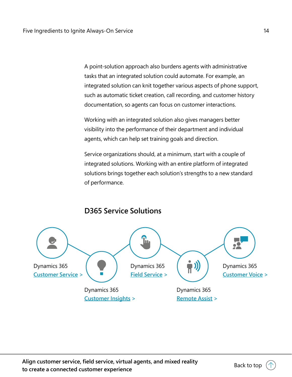A point-solution approach also burdens agents with administrative tasks that an integrated solution could automate. For example, an integrated solution can knit together various aspects of phone support, such as automatic ticket creation, call recording, and customer history documentation, so agents can focus on customer interactions.

Working with an integrated solution also gives managers better visibility into the performance of their department and individual agents, which can help set training goals and direction.

Service organizations should, at a minimum, start with a couple of integrated solutions. Working with an entire platform of integrated solutions brings together each solution's strengths to a new standard of performance.



### **D365 Service Solutions**